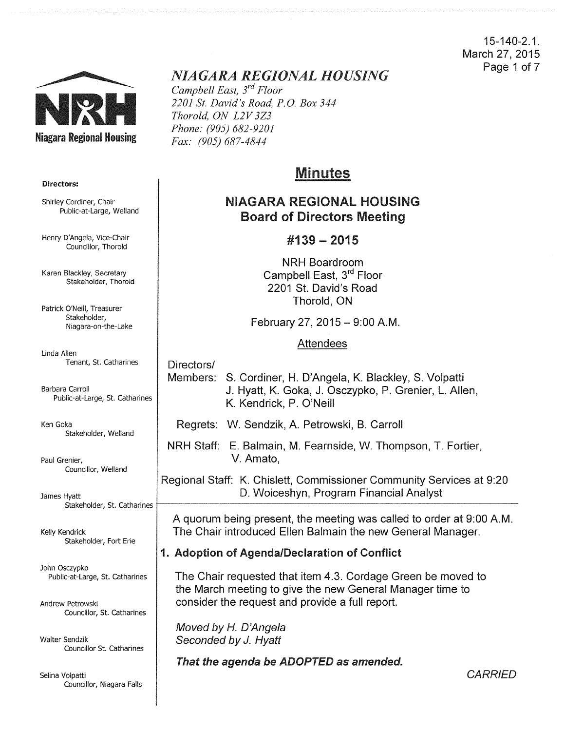15-140-2.1. March 27, 2015 Page 1 of 7



#### Directors:

Shirley Cordiner, Chair Public-at-Large, Weiland

Henry D'Angela, Vice-Chair Councillor, Thorold

Karen Blackley, Secretary Stakeholder, Thorold

Patrick O'Neill, Treasurer Stakeholder, Niagara-on-the-Lake

Linda Allen Tenant, St. Catharines

Barbara Carroll Public-at-Large, St. Catharines

Ken Goka Stakeholder, Weiland

Paul Grenier, Councillor, Weiland

James Hyatt Stakeholder, St. Catharines

Kelly Kendrick Stakeholder, Fort Erie

John Osczypko Public-at-Large, St. Catharines

Andrew Petrowski Councillor, St. Catharines

Walter Sendzik Councillor St. catharines

Selina Volpatti Councillor, Niagara Falls

# *NIAGARA REGIONAL HOUSING*

*Campbell East, 3rd Floor 2201 St. David's Road, P.O. Box 344 Thorold, ON L2V 3Z3 Phone: (905) 682-9201 Fax: (905) 687-4844* 

## Minutes

## NIAGARA REGIONAL HOUSING Board of Directors Meeting

### #139- 2015

NRH Boardroom Campbell East, 3<sup>rd</sup> Floor 2201 St. David's Road Thorold, ON

February 27, 2015 - 9:00 A.M.

#### Attendees

Directors/

- Members: S. Cordiner, H. D'Angela, K. Blackley, S. Volpatti J. Hyatt, K. Goka, J. Osczypko, P. Grenier, L. Allen, K. Kendrick, P. O'Neill
	- Regrets: W. Sendzik, A. Petrowski, B. Carroll
- NRH Staff: E. Balmain, M. Fearnside, W. Thompson, T. Fortier, V. Amato,

Regional Staff: K. Chislett, Commissioner Community Services at 9:20 D. Woiceshyn, Program Financial Analyst

A quorum being present, the meeting was called to order at 9:00 A.M. The Chair introduced Ellen Balmain the new General Manager.

## 1. Adoption of Agenda/Declaration of Conflict

The Chair requested that item 4.3. Cordage Green be moved to the March meeting to give the new General Manager time to consider the request and provide a full report.

Moved by *H.* D'Angela Seconded by J. Hyatt

That the agenda be ADOPTED as amended.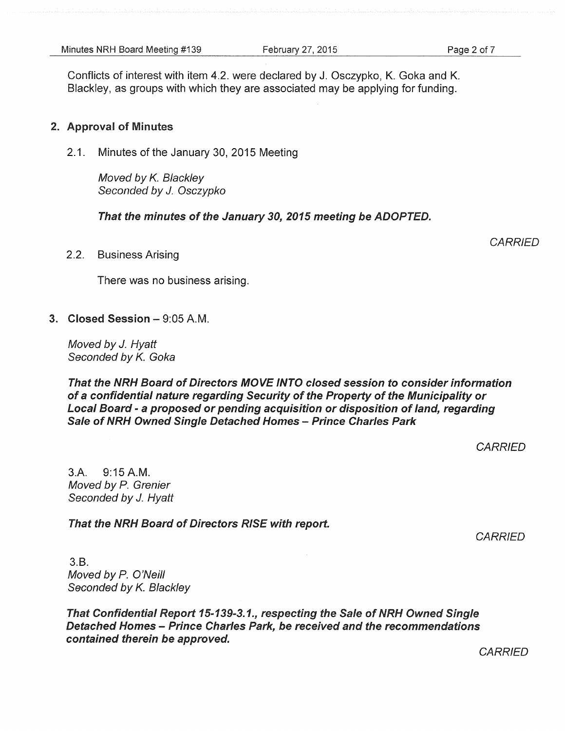Conflicts of interest with item 4.2. were declared by J. Osczypko, K. Goka and K. Blackley, as groups with which they are associated may be applying for funding.

#### 2. Approval of Minutes

2.1. Minutes of the January 30, 2015 Meeting

Moved by *K.* Blackley Seconded by J. Osczypko

That the minutes of the January *30, 2015* meeting be ADOPTED.

2.2. Business Arising

There was no business arising.

#### 3. Closed Session-9:05A.M.

Moved by J. Hyatt Seconded by *K.* Goka

That the NRH Board of Directors MOVE INTO closed session to consider information of a confidential nature regarding Security of the Property of the Municipality or Local Board - a proposed or pending acquisition or disposition of land, regarding Sale of NRH Owned Single Detached Homes - Prince Charles Park

**CARRIED** 

3.A. 9:15A.M. Moved by P. Grenier Seconded by J. Hyatt

That the NRH Board of Directors RISE with report.

**CARRIED** 

3.B. Moved by *P.* O'Neill Seconded by *K.* Blackley

That Confidential Report *15-139-3.1.,* respecting the Sale of NRH Owned Single Detached Homes- Prince Charles Park, be received and the recommendations contained therein be approved.

**CARRIED** 

**CARRIED**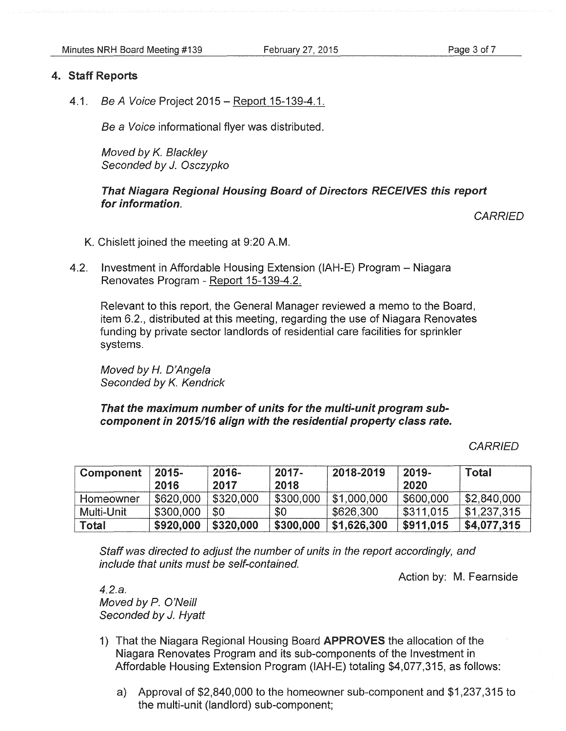#### 4. Staff Reports

4.1. Be A Voice Project 2015 – Report 15-139-4.1.

Be a Voice informational flyer was distributed.

Moved by *K.* Blackley Seconded by J. Osczypko

#### That Niagara Regional Housing Board of Directors RECEIVES this report for information.

**CARRIED** 

- K. Chislett joined the meeting at 9:20A.M.
- 4.2. Investment in Affordable Housing Extension (IAH-E) Program Niagara Renovates Program - Report 15-139-4.2.

Relevant to this report, the General Manager reviewed a memo to the Board, item 6.2., distributed at this meeting, regarding the use of Niagara Renovates funding by private sector landlords of residential care facilities for sprinkler systems.

Moved by H. D'Angela Seconded by *K.* Kendrick

That the maximum number of units for the multi-unit program subcomponent in 2015/16 align with the residential property class rate.

**CARRIED** 

| Component  | $2015 -$<br>2016 | $2016 -$<br>2017 | $2017 -$<br>2018 | 2018-2019   | $2019 -$<br>2020 | Total       |
|------------|------------------|------------------|------------------|-------------|------------------|-------------|
| Homeowner  | \$620,000        | \$320,000        | \$300,000        | \$1,000,000 | \$600,000        | \$2,840,000 |
| Multi-Unit | \$300,000        | \$0              | \$0              | \$626,300   | \$311,015        | \$1,237,315 |
| Total      | \$920,000        | \$320,000        | \$300,000        | \$1,626,300 | \$911,015        | \$4,077,315 |

Staff was directed to adjust the number of units in the report accordingly, and include that units must be self-contained.

Action by: M. Fearnside

4.2.a. Moved by P. O'Neill Seconded by J. Hyatt

- 1) That the Niagara Regional Housing Board APPROVES the allocation of the Niagara Renovates Program and its sub-components of the Investment in Affordable Housing Extension Program (IAH-E) totaling \$4,077,315, as follows:
	- a) Approval of \$2,840,000 to the homeowner sub-component and \$1,237,315 to the multi-unit (landlord) sub-component;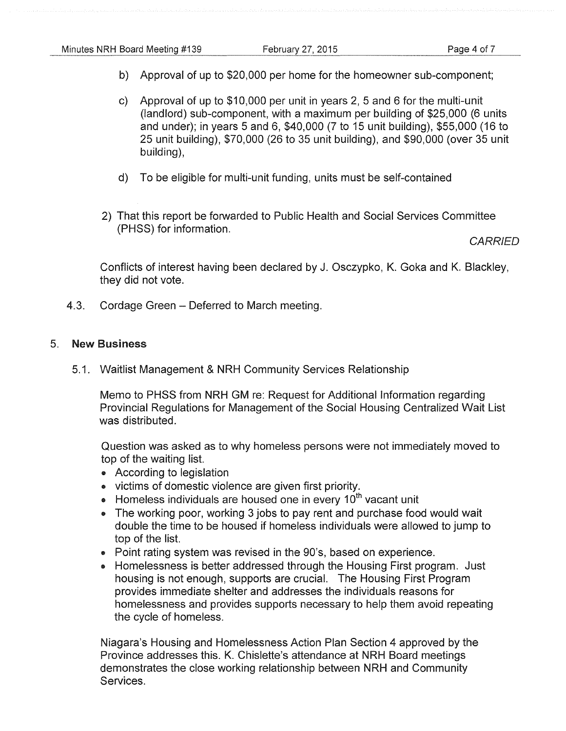- b) Approval of up to \$20,000 per home for the homeowner sub-component;
- c) Approval of up to \$10,000 per unit in years 2, 5 and 6 for the multi-unit (landlord) sub-component, with a maximum per building of \$25,000 (6 units and under); in years 5 and 6, \$40,000 (7 to 15 unit building), \$55,000 (16 to 25 unit building), \$70,000 (26 to 35 unit building), and \$90,000 (over 35 unit building),
- d) To be eligible for multi-unit funding, units must be self-contained
- 2) That this report be forwarded to Public Health and Social Services Committee (PHSS) for information.

**CARRIED** 

Conflicts of interest having been declared by J. Osczypko, K. Goka and K. Blackley, they did not vote.

4.3. Cordage Green - Deferred to March meeting.

#### 5. New Business

5.1. Waitlist Management & NRH Community Services Relationship

Memo to PHSS from NRH GM re: Request for Additional Information regarding Provincial Regulations for Management of the Social Housing Centralized Wait List was distributed.

Question was asked as to why homeless persons were not immediately moved to top of the waiting list.

- According to legislation
- victims of domestic violence are given first priority.
- Homeless individuals are housed one in every  $10<sup>th</sup>$  vacant unit
- The working poor, working 3 jobs to pay rent and purchase food would wait double the time to be housed if homeless individuals were allowed to jump to top of the list.
- Point rating system was revised in the 90's, based on experience.
- Homelessness is better addressed through the Housing First program. Just housing is not enough, supports are crucial. The Housing First Program provides immediate shelter and addresses the individuals reasons for homelessness and provides supports necessary to help them avoid repeating the cycle of homeless.

Niagara's Housing and Homelessness Action Plan Section 4 approved by the Province addresses this. K. Chislette's attendance at NRH Board meetings demonstrates the close working relationship between NRH and Community Services.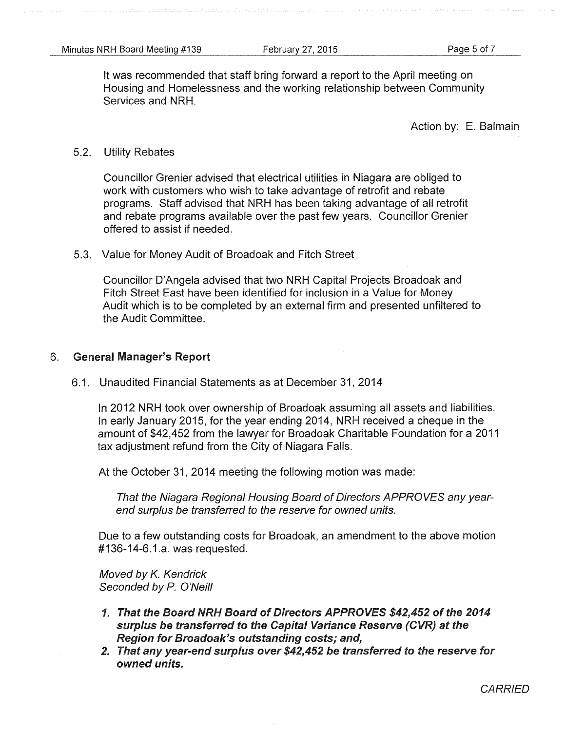It was recommended that staff bring forward a report to the April meeting on Housing and Homelessness and the working relationship between Community Services and NRH.

Action by: E. Balmain

#### 5.2. Utility Rebates

Councillor Grenier advised that electrical utilities in Niagara are obliged to work with customers who wish to take advantage of retrofit and rebate programs. Staff advised that NRH has been taking advantage of all retrofit and rebate programs available over the past few years. Councillor Grenier offered to assist if needed.

5.3. Value for Money Audit of Broadoak and Fitch Street

Councillor D'Angela advised that two NRH Capital Projects Broadoak and Fitch Street East have been identified for inclusion in a Value for Money Audit which is to be completed by an external firm and presented unfiltered to the Audit Committee.

#### 6. General Manager's Report

6.1. Unaudited Financial Statements as at December 31, 2014

In 2012 NRH took over ownership of Broadoak assuming all assets and liabilities. In early January 2015, for the year ending 2014, NRH received a cheque in the amount of \$42,452 from the lawyer for Broadoak Charitable Foundation for a 2011 tax adjustment refund from the City of Niagara Falls.

At the October 31, 2014 meeting the following motion was made:

That the Niagara Regional Housing Board of Directors APPROVES any yearend surplus be transferred to the reserve for owned units.

Due to a few outstanding costs for Broadoak, an amendment to the above motion #136-14-6.1.a. was requested.

Moved by K. Kendrick Seconded by P. O'Neill

- 1. That the Board NRH Board of Directors APPROVES \$42,452 of the 2014 surplus be transferred to the Capital Variance Reserve (CVR) at the Region for Broadoak's outstanding costs; and,
- 2. That any year-end surplus over \$42,452 be transferred to the reserve for owned units.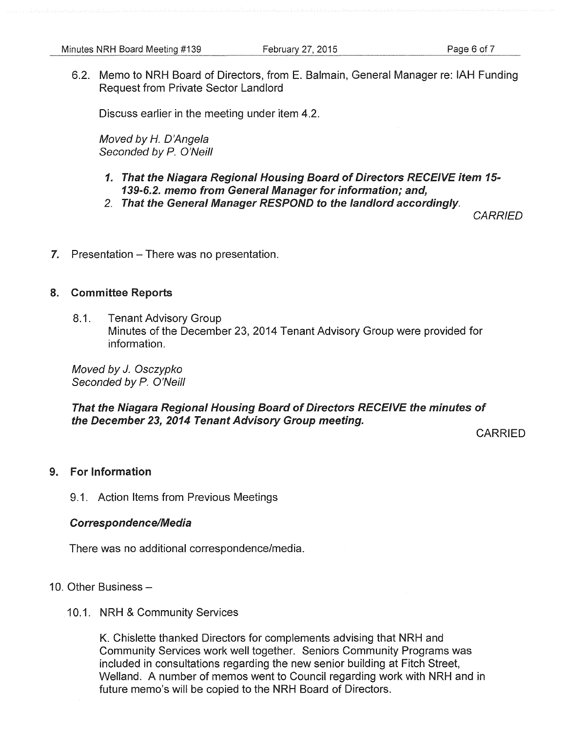6.2. Memo to NRH Board of Directors, from E. Balmain, General Manager re: IAH Funding Request from Private Sector Landlord

Discuss earlier in the meeting under item 4.2.

Moved by H. D'Angela Seconded by P. O'Neill

### 1. That the Niagara Regional Housing Board of Directors RECEIVE item 15- 139-6.2. memo from General Manager for information; and,

2. That the General Manager RESPOND to the landlord accordingly.

**CARRIED** 

7. Presentation – There was no presentation.

#### 8. Committee Reports

8.1. Tenant Advisory Group Minutes of the December 23, 2014 Tenant Advisory Group were provided for information.

Moved by J. Osczypko Seconded by P. O'Neill

#### That the Niagara Regional Housing Board of Directors RECEIVE the minutes of the December 23, 2014 Tenant Advisory Group meeting.

CARRIED

#### 9. For Information

9.1. Action Items from Previous Meetings

#### Correspondence/Media

There was no additional correspondence/media.

#### 10. Other Business-

10.1. NRH & Community Services

K. Chislette thanked Directors for complements advising that NRH and Community Services work well together. Seniors Community Programs was included in consultations regarding the new senior building at Fitch Street, Weiland. A number of memos went to Council regarding work with NRH and in future memo's will be copied to the NRH Board of Directors.